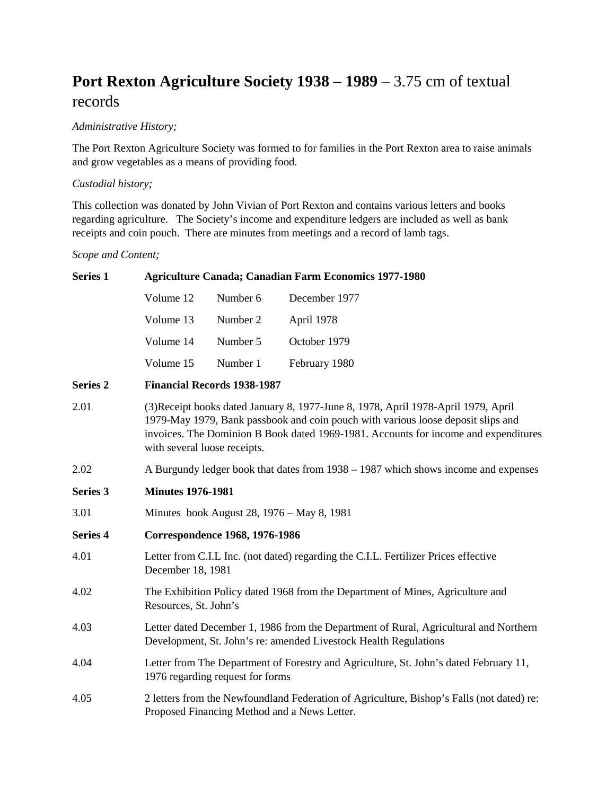## **Port Rexton Agriculture Society 1938 – 1989** – 3.75 cm of textual records

## *Administrative History;*

The Port Rexton Agriculture Society was formed to for families in the Port Rexton area to raise animals and grow vegetables as a means of providing food.

## *Custodial history;*

This collection was donated by John Vivian of Port Rexton and contains various letters and books regarding agriculture. The Society's income and expenditure ledgers are included as well as bank receipts and coin pouch. There are minutes from meetings and a record of lamb tags.

*Scope and Content;*

| <b>Series 1</b> | <b>Agriculture Canada; Canadian Farm Economics 1977-1980</b>                                                                                                                                                                                                                                  |          |               |  |
|-----------------|-----------------------------------------------------------------------------------------------------------------------------------------------------------------------------------------------------------------------------------------------------------------------------------------------|----------|---------------|--|
|                 | Volume 12                                                                                                                                                                                                                                                                                     | Number 6 | December 1977 |  |
|                 | Volume 13                                                                                                                                                                                                                                                                                     | Number 2 | April 1978    |  |
|                 | Volume 14                                                                                                                                                                                                                                                                                     | Number 5 | October 1979  |  |
|                 | Volume 15                                                                                                                                                                                                                                                                                     | Number 1 | February 1980 |  |
| <b>Series 2</b> | <b>Financial Records 1938-1987</b>                                                                                                                                                                                                                                                            |          |               |  |
| 2.01            | (3) Receipt books dated January 8, 1977-June 8, 1978, April 1978-April 1979, April<br>1979-May 1979, Bank passbook and coin pouch with various loose deposit slips and<br>invoices. The Dominion B Book dated 1969-1981. Accounts for income and expenditures<br>with several loose receipts. |          |               |  |
| 2.02            | A Burgundy ledger book that dates from 1938 - 1987 which shows income and expenses                                                                                                                                                                                                            |          |               |  |
| Series 3        | <b>Minutes 1976-1981</b>                                                                                                                                                                                                                                                                      |          |               |  |
| 3.01            | Minutes book August 28, 1976 – May 8, 1981                                                                                                                                                                                                                                                    |          |               |  |
| <b>Series 4</b> | <b>Correspondence 1968, 1976-1986</b>                                                                                                                                                                                                                                                         |          |               |  |
| 4.01            | Letter from C.I.L Inc. (not dated) regarding the C.I.L. Fertilizer Prices effective<br>December 18, 1981                                                                                                                                                                                      |          |               |  |
| 4.02            | The Exhibition Policy dated 1968 from the Department of Mines, Agriculture and<br>Resources, St. John's                                                                                                                                                                                       |          |               |  |
| 4.03            | Letter dated December 1, 1986 from the Department of Rural, Agricultural and Northern<br>Development, St. John's re: amended Livestock Health Regulations                                                                                                                                     |          |               |  |
| 4.04            | Letter from The Department of Forestry and Agriculture, St. John's dated February 11,<br>1976 regarding request for forms                                                                                                                                                                     |          |               |  |
| 4.05            | 2 letters from the Newfoundland Federation of Agriculture, Bishop's Falls (not dated) re:<br>Proposed Financing Method and a News Letter.                                                                                                                                                     |          |               |  |